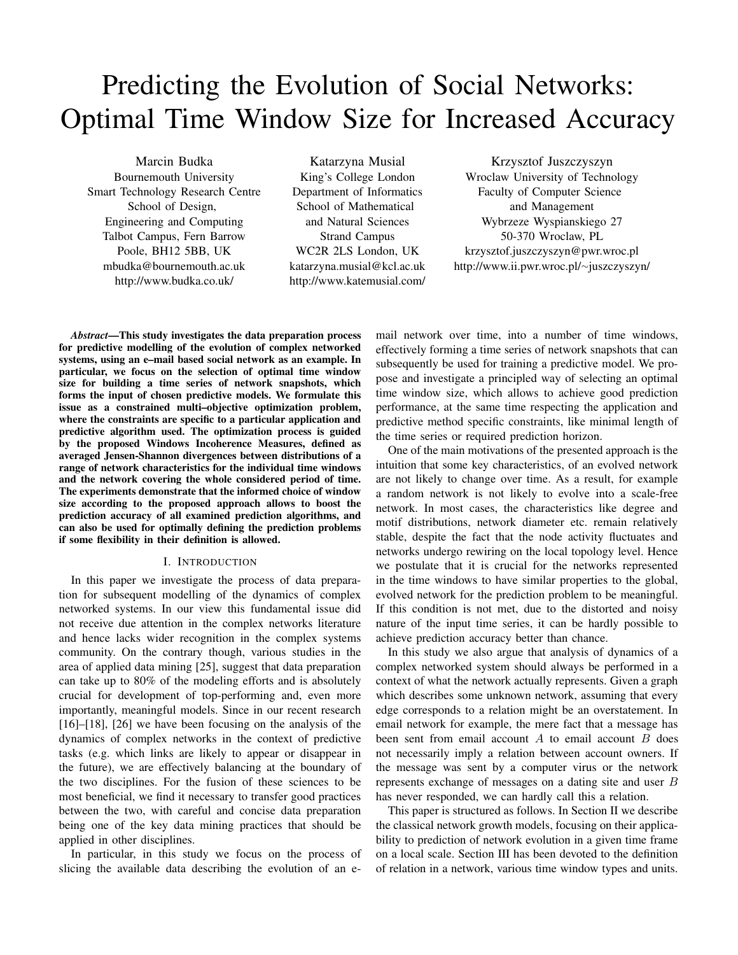# Predicting the Evolution of Social Networks: Optimal Time Window Size for Increased Accuracy

Marcin Budka Bournemouth University Smart Technology Research Centre School of Design, Engineering and Computing Talbot Campus, Fern Barrow Poole, BH12 5BB, UK mbudka@bournemouth.ac.uk http://www.budka.co.uk/

Katarzyna Musial King's College London Department of Informatics School of Mathematical and Natural Sciences Strand Campus WC2R 2LS London, UK katarzyna.musial@kcl.ac.uk http://www.katemusial.com/

Krzysztof Juszczyszyn Wroclaw University of Technology Faculty of Computer Science and Management Wybrzeze Wyspianskiego 27 50-370 Wroclaw, PL krzysztof.juszczyszyn@pwr.wroc.pl http://www.ii.pwr.wroc.pl/∼juszczyszyn/

*Abstract***—This study investigates the data preparation process for predictive modelling of the evolution of complex networked systems, using an e–mail based social network as an example. In particular, we focus on the selection of optimal time window size for building a time series of network snapshots, which forms the input of chosen predictive models. We formulate this issue as a constrained multi–objective optimization problem, where the constraints are specific to a particular application and predictive algorithm used. The optimization process is guided by the proposed Windows Incoherence Measures, defined as averaged Jensen-Shannon divergences between distributions of a range of network characteristics for the individual time windows and the network covering the whole considered period of time. The experiments demonstrate that the informed choice of window size according to the proposed approach allows to boost the prediction accuracy of all examined prediction algorithms, and can also be used for optimally defining the prediction problems if some flexibility in their definition is allowed.**

#### I. INTRODUCTION

In this paper we investigate the process of data preparation for subsequent modelling of the dynamics of complex networked systems. In our view this fundamental issue did not receive due attention in the complex networks literature and hence lacks wider recognition in the complex systems community. On the contrary though, various studies in the area of applied data mining [25], suggest that data preparation can take up to 80% of the modeling efforts and is absolutely crucial for development of top-performing and, even more importantly, meaningful models. Since in our recent research [16]–[18], [26] we have been focusing on the analysis of the dynamics of complex networks in the context of predictive tasks (e.g. which links are likely to appear or disappear in the future), we are effectively balancing at the boundary of the two disciplines. For the fusion of these sciences to be most beneficial, we find it necessary to transfer good practices between the two, with careful and concise data preparation being one of the key data mining practices that should be applied in other disciplines.

In particular, in this study we focus on the process of slicing the available data describing the evolution of an email network over time, into a number of time windows, effectively forming a time series of network snapshots that can subsequently be used for training a predictive model. We propose and investigate a principled way of selecting an optimal time window size, which allows to achieve good prediction performance, at the same time respecting the application and predictive method specific constraints, like minimal length of the time series or required prediction horizon.

One of the main motivations of the presented approach is the intuition that some key characteristics, of an evolved network are not likely to change over time. As a result, for example a random network is not likely to evolve into a scale-free network. In most cases, the characteristics like degree and motif distributions, network diameter etc. remain relatively stable, despite the fact that the node activity fluctuates and networks undergo rewiring on the local topology level. Hence we postulate that it is crucial for the networks represented in the time windows to have similar properties to the global, evolved network for the prediction problem to be meaningful. If this condition is not met, due to the distorted and noisy nature of the input time series, it can be hardly possible to achieve prediction accuracy better than chance.

In this study we also argue that analysis of dynamics of a complex networked system should always be performed in a context of what the network actually represents. Given a graph which describes some unknown network, assuming that every edge corresponds to a relation might be an overstatement. In email network for example, the mere fact that a message has been sent from email account A to email account B does not necessarily imply a relation between account owners. If the message was sent by a computer virus or the network represents exchange of messages on a dating site and user B has never responded, we can hardly call this a relation.

This paper is structured as follows. In Section II we describe the classical network growth models, focusing on their applicability to prediction of network evolution in a given time frame on a local scale. Section III has been devoted to the definition of relation in a network, various time window types and units.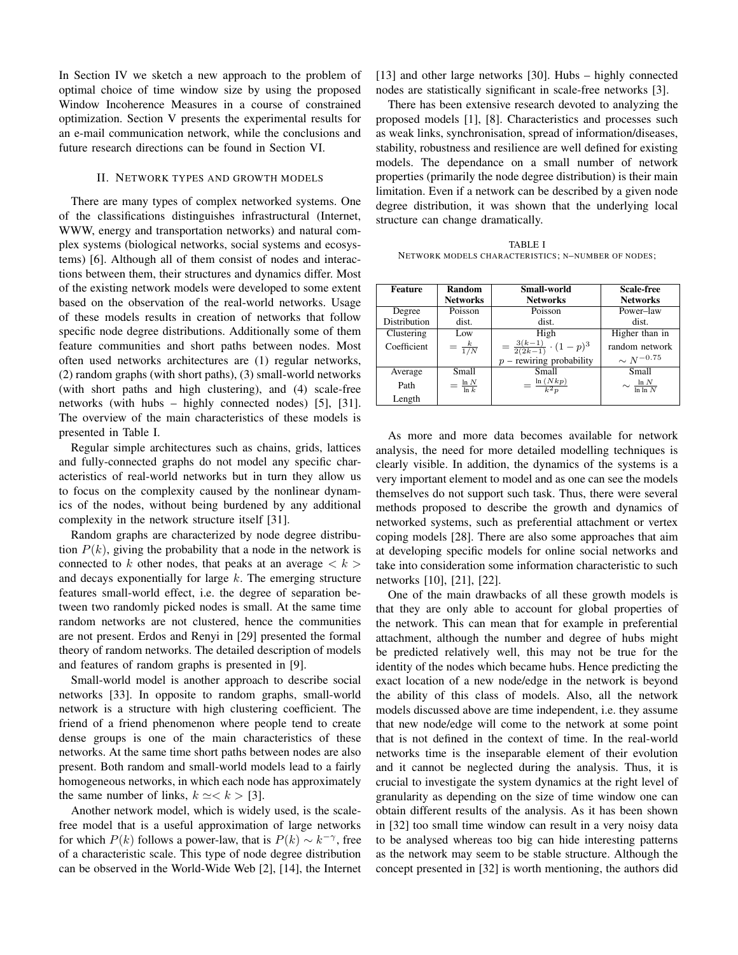In Section IV we sketch a new approach to the problem of optimal choice of time window size by using the proposed Window Incoherence Measures in a course of constrained optimization. Section V presents the experimental results for an e-mail communication network, while the conclusions and future research directions can be found in Section VI.

#### II. NETWORK TYPES AND GROWTH MODELS

There are many types of complex networked systems. One of the classifications distinguishes infrastructural (Internet, WWW, energy and transportation networks) and natural complex systems (biological networks, social systems and ecosystems) [6]. Although all of them consist of nodes and interactions between them, their structures and dynamics differ. Most of the existing network models were developed to some extent based on the observation of the real-world networks. Usage of these models results in creation of networks that follow specific node degree distributions. Additionally some of them feature communities and short paths between nodes. Most often used networks architectures are (1) regular networks, (2) random graphs (with short paths), (3) small-world networks (with short paths and high clustering), and (4) scale-free networks (with hubs – highly connected nodes) [5], [31]. The overview of the main characteristics of these models is presented in Table I.

Regular simple architectures such as chains, grids, lattices and fully-connected graphs do not model any specific characteristics of real-world networks but in turn they allow us to focus on the complexity caused by the nonlinear dynamics of the nodes, without being burdened by any additional complexity in the network structure itself [31].

Random graphs are characterized by node degree distribution  $P(k)$ , giving the probability that a node in the network is connected to k other nodes, that peaks at an average  $\langle k \rangle$ and decays exponentially for large k. The emerging structure features small-world effect, i.e. the degree of separation between two randomly picked nodes is small. At the same time random networks are not clustered, hence the communities are not present. Erdos and Renyi in [29] presented the formal theory of random networks. The detailed description of models and features of random graphs is presented in [9].

Small-world model is another approach to describe social networks [33]. In opposite to random graphs, small-world network is a structure with high clustering coefficient. The friend of a friend phenomenon where people tend to create dense groups is one of the main characteristics of these networks. At the same time short paths between nodes are also present. Both random and small-world models lead to a fairly homogeneous networks, in which each node has approximately the same number of links,  $k \simeq < k > [3]$ .

Another network model, which is widely used, is the scalefree model that is a useful approximation of large networks for which  $P(k)$  follows a power-law, that is  $P(k) \sim k^{-\gamma}$ , free of a characteristic scale. This type of node degree distribution can be observed in the World-Wide Web [2], [14], the Internet [13] and other large networks [30]. Hubs – highly connected nodes are statistically significant in scale-free networks [3].

There has been extensive research devoted to analyzing the proposed models [1], [8]. Characteristics and processes such as weak links, synchronisation, spread of information/diseases, stability, robustness and resilience are well defined for existing models. The dependance on a small number of network properties (primarily the node degree distribution) is their main limitation. Even if a network can be described by a given node degree distribution, it was shown that the underlying local structure can change dramatically.

TABLE I NETWORK MODELS CHARACTERISTICS; N–NUMBER OF NODES;

| <b>Feature</b> | Random                 | <b>Small-world</b>                      | <b>Scale-free</b>              |  |  |  |
|----------------|------------------------|-----------------------------------------|--------------------------------|--|--|--|
|                | <b>Networks</b>        | <b>Networks</b>                         | <b>Networks</b>                |  |  |  |
| Degree         | Poisson                | Poisson                                 | Power-law                      |  |  |  |
| Distribution   | dist.                  | dist.                                   | dist.                          |  |  |  |
| Clustering     | Low                    | High                                    | Higher than in                 |  |  |  |
| Coefficient    | $=\frac{k}{1/N}$       | $=\frac{3(k-1)}{2(2k-1)} \cdot (1-p)^3$ | random network                 |  |  |  |
|                |                        | $p$ – rewiring probability              | $\sim N^{-0.75}$               |  |  |  |
| Average        | Small                  | Small                                   | Small                          |  |  |  |
| Path           | $=\frac{\ln N}{\ln k}$ | $=\frac{\ln(Nkp)}{k^2n}$                | $\sim \frac{\ln N}{\ln \ln N}$ |  |  |  |
| Length         |                        |                                         |                                |  |  |  |

As more and more data becomes available for network analysis, the need for more detailed modelling techniques is clearly visible. In addition, the dynamics of the systems is a very important element to model and as one can see the models themselves do not support such task. Thus, there were several methods proposed to describe the growth and dynamics of networked systems, such as preferential attachment or vertex coping models [28]. There are also some approaches that aim at developing specific models for online social networks and take into consideration some information characteristic to such networks [10], [21], [22].

One of the main drawbacks of all these growth models is that they are only able to account for global properties of the network. This can mean that for example in preferential attachment, although the number and degree of hubs might be predicted relatively well, this may not be true for the identity of the nodes which became hubs. Hence predicting the exact location of a new node/edge in the network is beyond the ability of this class of models. Also, all the network models discussed above are time independent, i.e. they assume that new node/edge will come to the network at some point that is not defined in the context of time. In the real-world networks time is the inseparable element of their evolution and it cannot be neglected during the analysis. Thus, it is crucial to investigate the system dynamics at the right level of granularity as depending on the size of time window one can obtain different results of the analysis. As it has been shown in [32] too small time window can result in a very noisy data to be analysed whereas too big can hide interesting patterns as the network may seem to be stable structure. Although the concept presented in [32] is worth mentioning, the authors did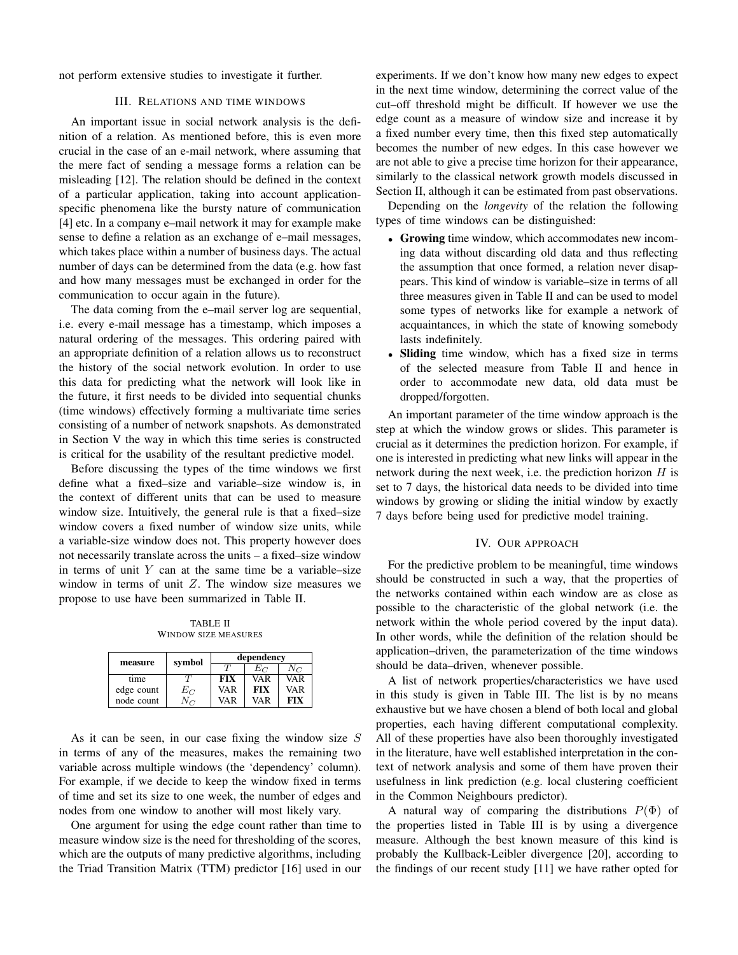not perform extensive studies to investigate it further.

## III. RELATIONS AND TIME WINDOWS

An important issue in social network analysis is the definition of a relation. As mentioned before, this is even more crucial in the case of an e-mail network, where assuming that the mere fact of sending a message forms a relation can be misleading [12]. The relation should be defined in the context of a particular application, taking into account applicationspecific phenomena like the bursty nature of communication [4] etc. In a company e–mail network it may for example make sense to define a relation as an exchange of e–mail messages, which takes place within a number of business days. The actual number of days can be determined from the data (e.g. how fast and how many messages must be exchanged in order for the communication to occur again in the future).

The data coming from the e–mail server log are sequential, i.e. every e-mail message has a timestamp, which imposes a natural ordering of the messages. This ordering paired with an appropriate definition of a relation allows us to reconstruct the history of the social network evolution. In order to use this data for predicting what the network will look like in the future, it first needs to be divided into sequential chunks (time windows) effectively forming a multivariate time series consisting of a number of network snapshots. As demonstrated in Section V the way in which this time series is constructed is critical for the usability of the resultant predictive model.

Before discussing the types of the time windows we first define what a fixed–size and variable–size window is, in the context of different units that can be used to measure window size. Intuitively, the general rule is that a fixed–size window covers a fixed number of window size units, while a variable-size window does not. This property however does not necessarily translate across the units – a fixed–size window in terms of unit  $Y$  can at the same time be a variable–size window in terms of unit  $Z$ . The window size measures we propose to use have been summarized in Table II.

TABLE II WINDOW SIZE MEASURES

| measure    | symbol       | dependency |            |     |  |  |  |
|------------|--------------|------------|------------|-----|--|--|--|
|            |              |            | Eσ         | ٧r  |  |  |  |
| time       |              | FIX        | VAR        | VAR |  |  |  |
| edge count | $E_{C}$      | VAR        | <b>FIX</b> | VAR |  |  |  |
| node count | $V_{\alpha}$ | VAR        | <b>VAR</b> | FIX |  |  |  |

As it can be seen, in our case fixing the window size  $S$ in terms of any of the measures, makes the remaining two variable across multiple windows (the 'dependency' column). For example, if we decide to keep the window fixed in terms of time and set its size to one week, the number of edges and nodes from one window to another will most likely vary.

One argument for using the edge count rather than time to measure window size is the need for thresholding of the scores, which are the outputs of many predictive algorithms, including the Triad Transition Matrix (TTM) predictor [16] used in our

experiments. If we don't know how many new edges to expect in the next time window, determining the correct value of the cut–off threshold might be difficult. If however we use the edge count as a measure of window size and increase it by a fixed number every time, then this fixed step automatically becomes the number of new edges. In this case however we are not able to give a precise time horizon for their appearance, similarly to the classical network growth models discussed in Section II, although it can be estimated from past observations.

Depending on the *longevity* of the relation the following types of time windows can be distinguished:

- **Growing** time window, which accommodates new incoming data without discarding old data and thus reflecting the assumption that once formed, a relation never disappears. This kind of window is variable–size in terms of all three measures given in Table II and can be used to model some types of networks like for example a network of acquaintances, in which the state of knowing somebody lasts indefinitely.
- **Sliding** time window, which has a fixed size in terms of the selected measure from Table II and hence in order to accommodate new data, old data must be dropped/forgotten.

An important parameter of the time window approach is the step at which the window grows or slides. This parameter is crucial as it determines the prediction horizon. For example, if one is interested in predicting what new links will appear in the network during the next week, i.e. the prediction horizon  $H$  is set to 7 days, the historical data needs to be divided into time windows by growing or sliding the initial window by exactly 7 days before being used for predictive model training.

#### IV. OUR APPROACH

For the predictive problem to be meaningful, time windows should be constructed in such a way, that the properties of the networks contained within each window are as close as possible to the characteristic of the global network (i.e. the network within the whole period covered by the input data). In other words, while the definition of the relation should be application–driven, the parameterization of the time windows should be data–driven, whenever possible.

A list of network properties/characteristics we have used in this study is given in Table III. The list is by no means exhaustive but we have chosen a blend of both local and global properties, each having different computational complexity. All of these properties have also been thoroughly investigated in the literature, have well established interpretation in the context of network analysis and some of them have proven their usefulness in link prediction (e.g. local clustering coefficient in the Common Neighbours predictor).

A natural way of comparing the distributions  $P(\Phi)$  of the properties listed in Table III is by using a divergence measure. Although the best known measure of this kind is probably the Kullback-Leibler divergence [20], according to the findings of our recent study [11] we have rather opted for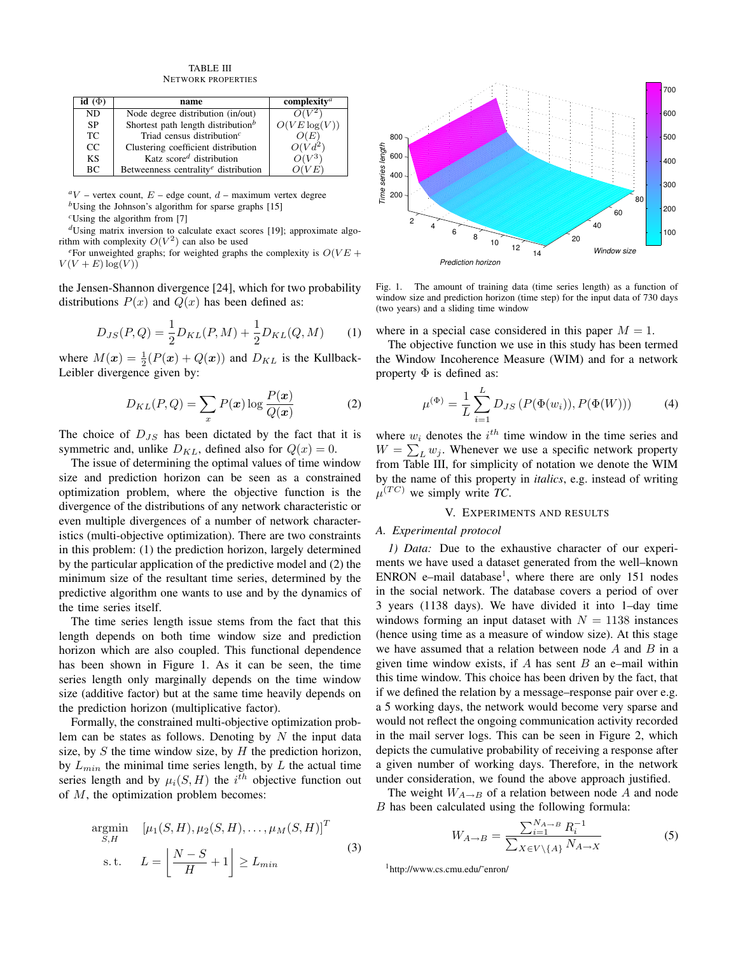TABLE III NETWORK PROPERTIES

| id $(\Phi)$ | name                                                          | complexity <sup><i>a</i></sup> |
|-------------|---------------------------------------------------------------|--------------------------------|
| ND.         | Node degree distribution (in/out)                             |                                |
| <b>SP</b>   | Shortest path length distribution <sup>b</sup>                | $O(VE \log(V))$                |
| TC.         | Triad census distribution $c$                                 | O(E)                           |
| $_{\rm CC}$ | Clustering coefficient distribution                           | $O(Vd^2)$                      |
| KS          | Katz score <sup>d</sup> distribution                          |                                |
| BС          | Betweenness centrality <sup><math>e</math></sup> distribution |                                |

 ${}^aV$  – vertex count,  $E$  – edge count,  $d$  – maximum vertex degree *<sup>b</sup>*Using the Johnson's algorithm for sparse graphs [15]

*<sup>c</sup>*Using the algorithm from [7]

*<sup>d</sup>*Using matrix inversion to calculate exact scores [19]; approximate algorithm with complexity  $O(V^2)$  can also be used

 $e^e$ For unweighted graphs; for weighted graphs the complexity is  $O(VE +$  $V(V + E) \log(V)$ 

the Jensen-Shannon divergence [24], which for two probability distributions  $P(x)$  and  $Q(x)$  has been defined as:

$$
D_{JS}(P,Q) = \frac{1}{2}D_{KL}(P,M) + \frac{1}{2}D_{KL}(Q,M)
$$
 (1)

where  $M(x) = \frac{1}{2}(P(x) + Q(x))$  and  $D_{KL}$  is the Kullback-Leibler divergence given by:

$$
D_{KL}(P,Q) = \sum_{x} P(x) \log \frac{P(x)}{Q(x)}
$$
 (2)

The choice of  $D_{JS}$  has been dictated by the fact that it is symmetric and, unlike  $D_{KL}$ , defined also for  $Q(x) = 0$ .

The issue of determining the optimal values of time window size and prediction horizon can be seen as a constrained optimization problem, where the objective function is the divergence of the distributions of any network characteristic or even multiple divergences of a number of network characteristics (multi-objective optimization). There are two constraints in this problem: (1) the prediction horizon, largely determined by the particular application of the predictive model and (2) the minimum size of the resultant time series, determined by the predictive algorithm one wants to use and by the dynamics of the time series itself.

The time series length issue stems from the fact that this length depends on both time window size and prediction horizon which are also coupled. This functional dependence has been shown in Figure 1. As it can be seen, the time series length only marginally depends on the time window size (additive factor) but at the same time heavily depends on the prediction horizon (multiplicative factor).

Formally, the constrained multi-objective optimization problem can be states as follows. Denoting by  $N$  the input data size, by  $S$  the time window size, by  $H$  the prediction horizon, by  $L_{min}$  the minimal time series length, by  $L$  the actual time series length and by  $\mu_i(S, H)$  the  $i^{th}$  objective function out of  $M$ , the optimization problem becomes:

$$
\underset{S,H}{\text{argmin}} \quad \left[\mu_1(S,H), \mu_2(S,H), \dots, \mu_M(S,H)\right]^T
$$
\n
$$
\text{s.t.} \quad L = \left\lfloor \frac{N-S}{H} + 1 \right\rfloor \ge L_{min} \tag{3}
$$



Fig. 1. The amount of training data (time series length) as a function of window size and prediction horizon (time step) for the input data of 730 days (two years) and a sliding time window

where in a special case considered in this paper  $M = 1$ .

The objective function we use in this study has been termed the Window Incoherence Measure (WIM) and for a network property  $\Phi$  is defined as:

$$
\mu^{(\Phi)} = \frac{1}{L} \sum_{i=1}^{L} D_{JS} (P(\Phi(w_i)), P(\Phi(W))) \tag{4}
$$

where  $w_i$  denotes the  $i^{th}$  time window in the time series and  $W = \sum_L w_j$ . Whenever we use a specific network property from Table III, for simplicity of notation we denote the WIM by the name of this property in *italics*, e.g. instead of writing  $\mu^{(TC)}$  we simply write *TC*.

## V. EXPERIMENTS AND RESULTS

#### *A. Experimental protocol*

*1) Data:* Due to the exhaustive character of our experiments we have used a dataset generated from the well–known ENRON e-mail database<sup>1</sup>, where there are only 151 nodes in the social network. The database covers a period of over 3 years (1138 days). We have divided it into 1–day time windows forming an input dataset with  $N = 1138$  instances (hence using time as a measure of window size). At this stage we have assumed that a relation between node  $A$  and  $B$  in a given time window exists, if  $A$  has sent  $B$  an e–mail within this time window. This choice has been driven by the fact, that if we defined the relation by a message–response pair over e.g. a 5 working days, the network would become very sparse and would not reflect the ongoing communication activity recorded in the mail server logs. This can be seen in Figure 2, which depicts the cumulative probability of receiving a response after a given number of working days. Therefore, in the network under consideration, we found the above approach justified.

The weight  $W_{A\rightarrow B}$  of a relation between node A and node B has been calculated using the following formula:

$$
W_{A \to B} = \frac{\sum_{i=1}^{N_{A \to B}} R_i^{-1}}{\sum_{X \in V \setminus \{A\}} N_{A \to X}}
$$
(5)

1http://www.cs.cmu.edu/˜enron/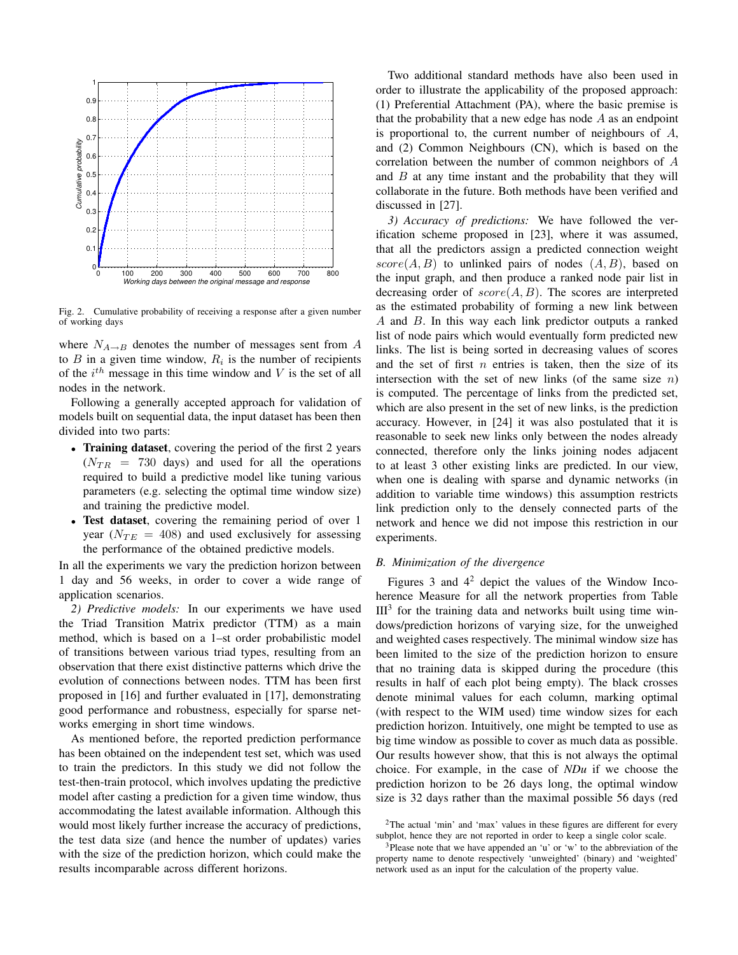

Fig. 2. Cumulative probability of receiving a response after a given number of working days

where  $N_{A\rightarrow B}$  denotes the number of messages sent from A to  $B$  in a given time window,  $R_i$  is the number of recipients of the  $i^{th}$  message in this time window and V is the set of all nodes in the network.

Following a generally accepted approach for validation of models built on sequential data, the input dataset has been then divided into two parts:

- **Training dataset**, covering the period of the first 2 years  $(N_{TR}$  = 730 days) and used for all the operations required to build a predictive model like tuning various parameters (e.g. selecting the optimal time window size) and training the predictive model.
- **Test dataset**, covering the remaining period of over 1 year  $(N_{TE} = 408)$  and used exclusively for assessing the performance of the obtained predictive models.

In all the experiments we vary the prediction horizon between 1 day and 56 weeks, in order to cover a wide range of application scenarios.

*2) Predictive models:* In our experiments we have used the Triad Transition Matrix predictor (TTM) as a main method, which is based on a 1–st order probabilistic model of transitions between various triad types, resulting from an observation that there exist distinctive patterns which drive the evolution of connections between nodes. TTM has been first proposed in [16] and further evaluated in [17], demonstrating good performance and robustness, especially for sparse networks emerging in short time windows.

As mentioned before, the reported prediction performance has been obtained on the independent test set, which was used to train the predictors. In this study we did not follow the test-then-train protocol, which involves updating the predictive model after casting a prediction for a given time window, thus accommodating the latest available information. Although this would most likely further increase the accuracy of predictions, the test data size (and hence the number of updates) varies with the size of the prediction horizon, which could make the results incomparable across different horizons.

Two additional standard methods have also been used in order to illustrate the applicability of the proposed approach: (1) Preferential Attachment (PA), where the basic premise is that the probability that a new edge has node  $A$  as an endpoint is proportional to, the current number of neighbours of  $A$ , and (2) Common Neighbours (CN), which is based on the correlation between the number of common neighbors of A and  $B$  at any time instant and the probability that they will collaborate in the future. Both methods have been verified and discussed in [27].

*3) Accuracy of predictions:* We have followed the verification scheme proposed in [23], where it was assumed, that all the predictors assign a predicted connection weight  $score(A, B)$  to unlinked pairs of nodes  $(A, B)$ , based on the input graph, and then produce a ranked node pair list in decreasing order of  $score(A, B)$ . The scores are interpreted as the estimated probability of forming a new link between A and B. In this way each link predictor outputs a ranked list of node pairs which would eventually form predicted new links. The list is being sorted in decreasing values of scores and the set of first  $n$  entries is taken, then the size of its intersection with the set of new links (of the same size  $n$ ) is computed. The percentage of links from the predicted set, which are also present in the set of new links, is the prediction accuracy. However, in [24] it was also postulated that it is reasonable to seek new links only between the nodes already connected, therefore only the links joining nodes adjacent to at least 3 other existing links are predicted. In our view, when one is dealing with sparse and dynamic networks (in addition to variable time windows) this assumption restricts link prediction only to the densely connected parts of the network and hence we did not impose this restriction in our experiments.

## *B. Minimization of the divergence*

Figures 3 and  $4<sup>2</sup>$  depict the values of the Window Incoherence Measure for all the network properties from Table  $III<sup>3</sup>$  for the training data and networks built using time windows/prediction horizons of varying size, for the unweighed and weighted cases respectively. The minimal window size has been limited to the size of the prediction horizon to ensure that no training data is skipped during the procedure (this results in half of each plot being empty). The black crosses denote minimal values for each column, marking optimal (with respect to the WIM used) time window sizes for each prediction horizon. Intuitively, one might be tempted to use as big time window as possible to cover as much data as possible. Our results however show, that this is not always the optimal choice. For example, in the case of *NDu* if we choose the prediction horizon to be 26 days long, the optimal window size is 32 days rather than the maximal possible 56 days (red

<sup>2</sup>The actual 'min' and 'max' values in these figures are different for every subplot, hence they are not reported in order to keep a single color scale.

 $3P$ lease note that we have appended an 'u' or 'w' to the abbreviation of the property name to denote respectively 'unweighted' (binary) and 'weighted' network used as an input for the calculation of the property value.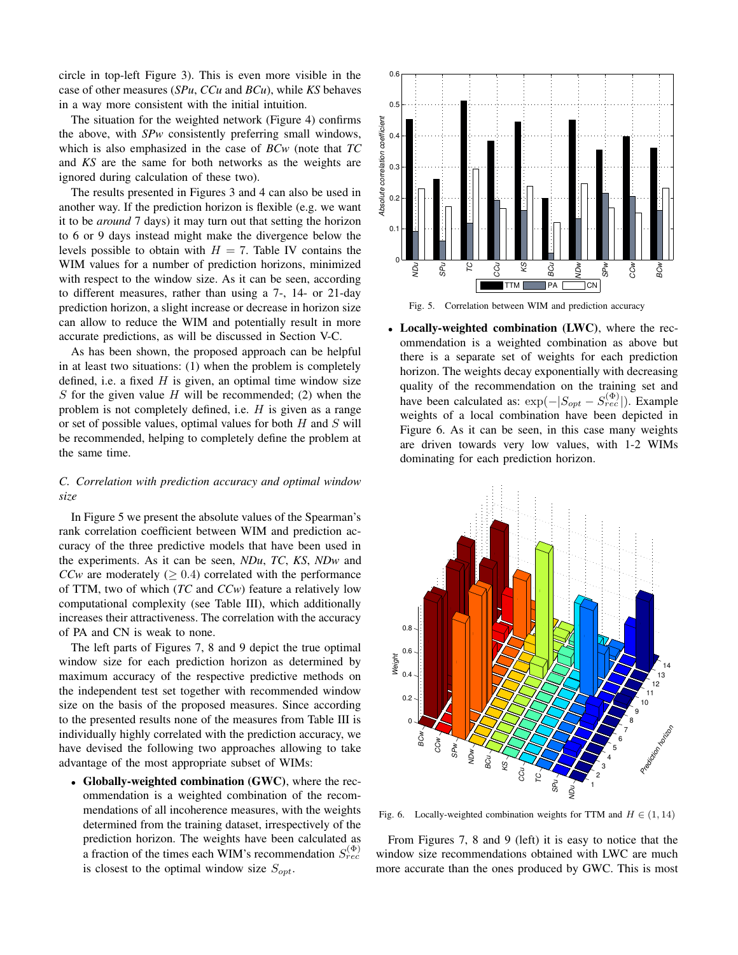circle in top-left Figure 3). This is even more visible in the case of other measures (*SPu*, *CCu* and *BCu*), while *KS* behaves in a way more consistent with the initial intuition.

The situation for the weighted network (Figure 4) confirms the above, with *SPw* consistently preferring small windows, which is also emphasized in the case of *BCw* (note that *TC* and *KS* are the same for both networks as the weights are ignored during calculation of these two).

The results presented in Figures 3 and 4 can also be used in another way. If the prediction horizon is flexible (e.g. we want it to be *around* 7 days) it may turn out that setting the horizon to 6 or 9 days instead might make the divergence below the levels possible to obtain with  $H = 7$ . Table IV contains the WIM values for a number of prediction horizons, minimized with respect to the window size. As it can be seen, according to different measures, rather than using a 7-, 14- or 21-day prediction horizon, a slight increase or decrease in horizon size can allow to reduce the WIM and potentially result in more accurate predictions, as will be discussed in Section V-C.

As has been shown, the proposed approach can be helpful in at least two situations: (1) when the problem is completely defined, i.e. a fixed  $H$  is given, an optimal time window size S for the given value H will be recommended; (2) when the problem is not completely defined, i.e.  $H$  is given as a range or set of possible values, optimal values for both  $H$  and  $S$  will be recommended, helping to completely define the problem at the same time.

# *C. Correlation with prediction accuracy and optimal window size*

In Figure 5 we present the absolute values of the Spearman's rank correlation coefficient between WIM and prediction accuracy of the three predictive models that have been used in the experiments. As it can be seen, *NDu*, *TC*, *KS*, *NDw* and *CCw* are moderately ( $\geq$  0.4) correlated with the performance of TTM, two of which (*TC* and *CCw*) feature a relatively low computational complexity (see Table III), which additionally increases their attractiveness. The correlation with the accuracy of PA and CN is weak to none.

The left parts of Figures 7, 8 and 9 depict the true optimal window size for each prediction horizon as determined by maximum accuracy of the respective predictive methods on the independent test set together with recommended window size on the basis of the proposed measures. Since according to the presented results none of the measures from Table III is individually highly correlated with the prediction accuracy, we have devised the following two approaches allowing to take advantage of the most appropriate subset of WIMs:

• **Globally-weighted combination (GWC)**, where the recommendation is a weighted combination of the recommendations of all incoherence measures, with the weights determined from the training dataset, irrespectively of the prediction horizon. The weights have been calculated as a fraction of the times each WIM's recommendation  $S_{rec}^{(\Phi)}$ is closest to the optimal window size  $S_{opt}$ .



Fig. 5. Correlation between WIM and prediction accuracy

• **Locally-weighted combination (LWC)**, where the recommendation is a weighted combination as above but there is a separate set of weights for each prediction horizon. The weights decay exponentially with decreasing quality of the recommendation on the training set and have been calculated as:  $\exp(-|S_{opt} - S_{rec}^{(\Phi)}|)$ . Example weights of a local combination have been depicted in Figure 6. As it can be seen, in this case many weights are driven towards very low values, with 1-2 WIMs dominating for each prediction horizon.



Fig. 6. Locally-weighted combination weights for TTM and  $H \in (1, 14)$ 

From Figures 7, 8 and 9 (left) it is easy to notice that the window size recommendations obtained with LWC are much more accurate than the ones produced by GWC. This is most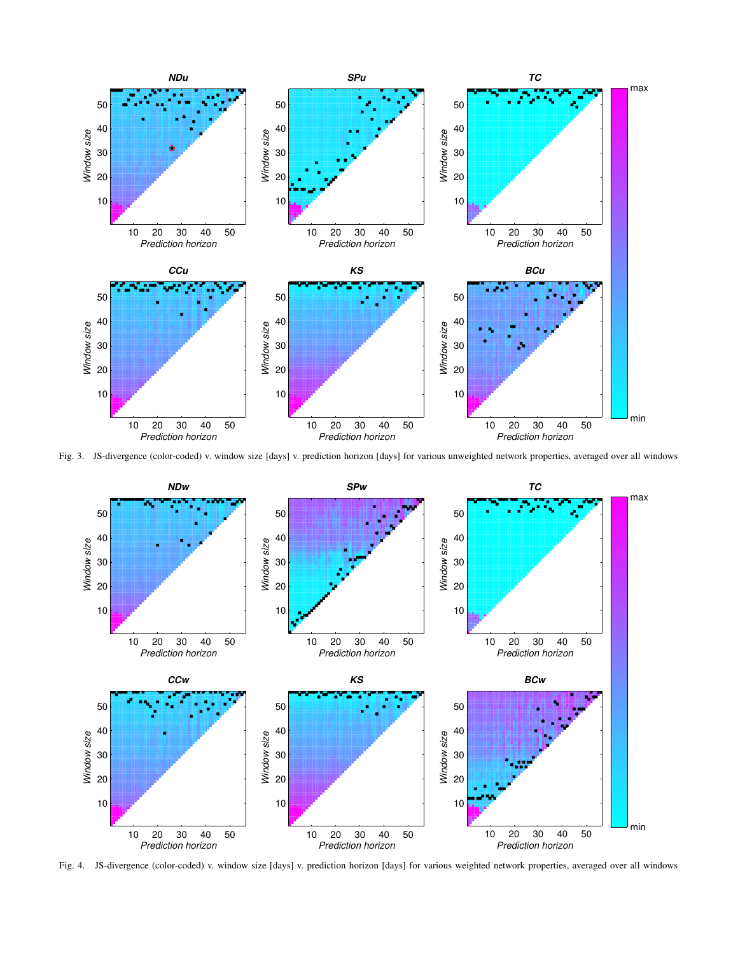

Fig. 3. JS-divergence (color-coded) v. window size [days] v. prediction horizon [days] for various unweighted network properties, averaged over all windows



Fig. 4. JS-divergence (color-coded) v. window size [days] v. prediction horizon [days] for various weighted network properties, averaged over all windows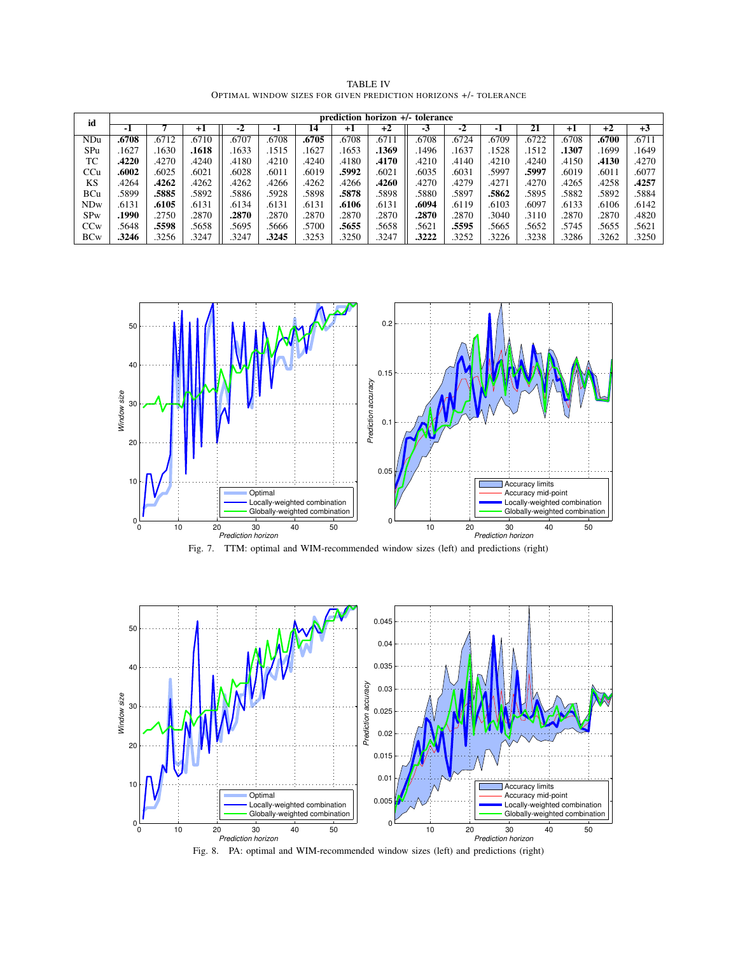TABLE IV OPTIMAL WINDOW SIZES FOR GIVEN PREDICTION HORIZONS +/- TOLERANCE

| id         |       | prediction horizon +/- tolerance |       |       |       |       |       |       |       |       |       |       |       |       |       |
|------------|-------|----------------------------------|-------|-------|-------|-------|-------|-------|-------|-------|-------|-------|-------|-------|-------|
|            | - 1   |                                  | $+1$  | -2    | - 1   | 14    | $+1$  | $+2$  | -5    | $-2$  | - 1   | 21    | +1    | $+2$  | $+3$  |
| <b>NDu</b> | .6708 | .6712                            | .6710 | .6707 | .6708 | .6705 | .6708 | .6711 | .6708 | .6724 | .6709 | .6722 | .6708 | .6700 | .6711 |
| SPu        | .1627 | .1630                            | .1618 | .1633 | .1515 | 1627  | .1653 | .1369 | .1496 | .1637 | 1528  | .1512 | .1307 | .1699 | .1649 |
| TC         | .4220 | .4270                            | .4240 | .4180 | .4210 | .4240 | .4180 | .4170 | .4210 | .4140 | .4210 | .4240 | .4150 | .4130 | .4270 |
| CCu        | .6002 | .6025                            | .6021 | .6028 | .6011 | .6019 | .5992 | .6021 | .6035 | .6031 | .5997 | .5997 | .6019 | .6011 | .6077 |
| ΚS         | .4264 | .4262                            | .4262 | .4262 | .4266 | .4262 | .4266 | .4260 | .4270 | .4279 | .4271 | .4270 | .4265 | .4258 | .4257 |
| <b>BCu</b> | .5899 | .5885                            | .5892 | .5886 | .5928 | .5898 | .5878 | .5898 | .5880 | .5897 | .5862 | .5895 | .5882 | .5892 | .5884 |
| <b>NDw</b> | .6131 | .6105                            | .6131 | .6134 | .6131 | .6131 | .6106 | .6131 | .6094 | .6119 | .6103 | 6097  | .6133 | .6106 | .6142 |
| <b>SPw</b> | .1990 | .2750                            | .2870 | .2870 | .2870 | .2870 | .2870 | .2870 | .2870 | .2870 | .3040 | .3110 | .2870 | .2870 | .4820 |
| CCw        | .5648 | .5598                            | .5658 | .5695 | .5666 | .5700 | .5655 | .5658 | .5621 | .5595 | .5665 | .5652 | .5745 | .5655 | .5621 |
| <b>BCw</b> | .3246 | .3256                            | .3247 | .3247 | .3245 | .3253 | .3250 | .3247 | .3222 | .3252 | .3226 | .3238 | .3286 | .3262 | .3250 |





Fig. 8. PA: optimal and WIM-recommended window sizes (left) and predictions (right)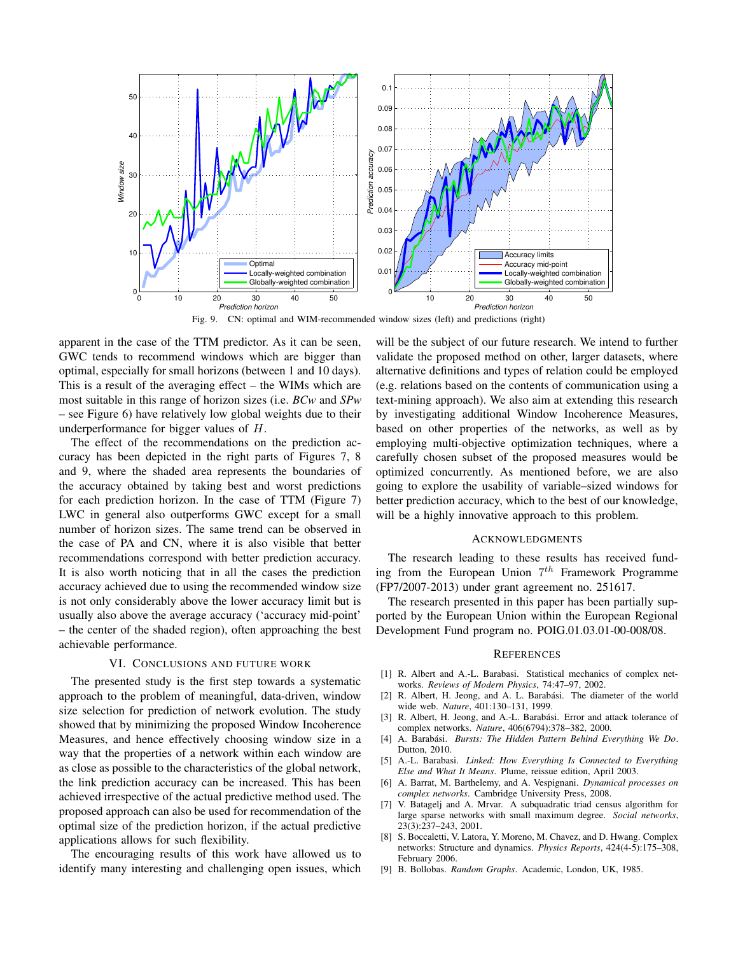

Fig. 9. CN: optimal and WIM-recommended window sizes (left) and predictions (right)

apparent in the case of the TTM predictor. As it can be seen, GWC tends to recommend windows which are bigger than optimal, especially for small horizons (between 1 and 10 days). This is a result of the averaging effect – the WIMs which are most suitable in this range of horizon sizes (i.e. *BCw* and *SPw* – see Figure 6) have relatively low global weights due to their underperformance for bigger values of H.

The effect of the recommendations on the prediction accuracy has been depicted in the right parts of Figures 7, 8 and 9, where the shaded area represents the boundaries of the accuracy obtained by taking best and worst predictions for each prediction horizon. In the case of TTM (Figure 7) LWC in general also outperforms GWC except for a small number of horizon sizes. The same trend can be observed in the case of PA and CN, where it is also visible that better recommendations correspond with better prediction accuracy. It is also worth noticing that in all the cases the prediction accuracy achieved due to using the recommended window size is not only considerably above the lower accuracy limit but is usually also above the average accuracy ('accuracy mid-point' – the center of the shaded region), often approaching the best achievable performance.

# VI. CONCLUSIONS AND FUTURE WORK

The presented study is the first step towards a systematic approach to the problem of meaningful, data-driven, window size selection for prediction of network evolution. The study showed that by minimizing the proposed Window Incoherence Measures, and hence effectively choosing window size in a way that the properties of a network within each window are as close as possible to the characteristics of the global network, the link prediction accuracy can be increased. This has been achieved irrespective of the actual predictive method used. The proposed approach can also be used for recommendation of the optimal size of the prediction horizon, if the actual predictive applications allows for such flexibility.

The encouraging results of this work have allowed us to identify many interesting and challenging open issues, which

will be the subject of our future research. We intend to further validate the proposed method on other, larger datasets, where alternative definitions and types of relation could be employed (e.g. relations based on the contents of communication using a text-mining approach). We also aim at extending this research by investigating additional Window Incoherence Measures, based on other properties of the networks, as well as by employing multi-objective optimization techniques, where a carefully chosen subset of the proposed measures would be optimized concurrently. As mentioned before, we are also going to explore the usability of variable–sized windows for better prediction accuracy, which to the best of our knowledge, will be a highly innovative approach to this problem.

#### ACKNOWLEDGMENTS

The research leading to these results has received funding from the European Union  $7<sup>th</sup>$  Framework Programme (FP7/2007-2013) under grant agreement no. 251617.

The research presented in this paper has been partially supported by the European Union within the European Regional Development Fund program no. POIG.01.03.01-00-008/08.

#### **REFERENCES**

- [1] R. Albert and A.-L. Barabasi. Statistical mechanics of complex networks. *Reviews of Modern Physics*, 74:47–97, 2002.
- [2] R. Albert, H. Jeong, and A. L. Barabási. The diameter of the world wide web. *Nature*, 401:130–131, 1999.
- [3] R. Albert, H. Jeong, and A.-L. Barabási. Error and attack tolerance of complex networks. *Nature*, 406(6794):378–382, 2000.
- [4] A. Barabási. Bursts: The Hidden Pattern Behind Everything We Do. Dutton, 2010.
- [5] A.-L. Barabasi. *Linked: How Everything Is Connected to Everything Else and What It Means*. Plume, reissue edition, April 2003.
- [6] A. Barrat, M. Barthelemy, and A. Vespignani. *Dynamical processes on complex networks*. Cambridge University Press, 2008.
- [7] V. Batagelj and A. Mrvar. A subquadratic triad census algorithm for large sparse networks with small maximum degree. *Social networks*, 23(3):237–243, 2001.
- [8] S. Boccaletti, V. Latora, Y. Moreno, M. Chavez, and D. Hwang. Complex networks: Structure and dynamics. *Physics Reports*, 424(4-5):175–308, February 2006.
- [9] B. Bollobas. *Random Graphs*. Academic, London, UK, 1985.